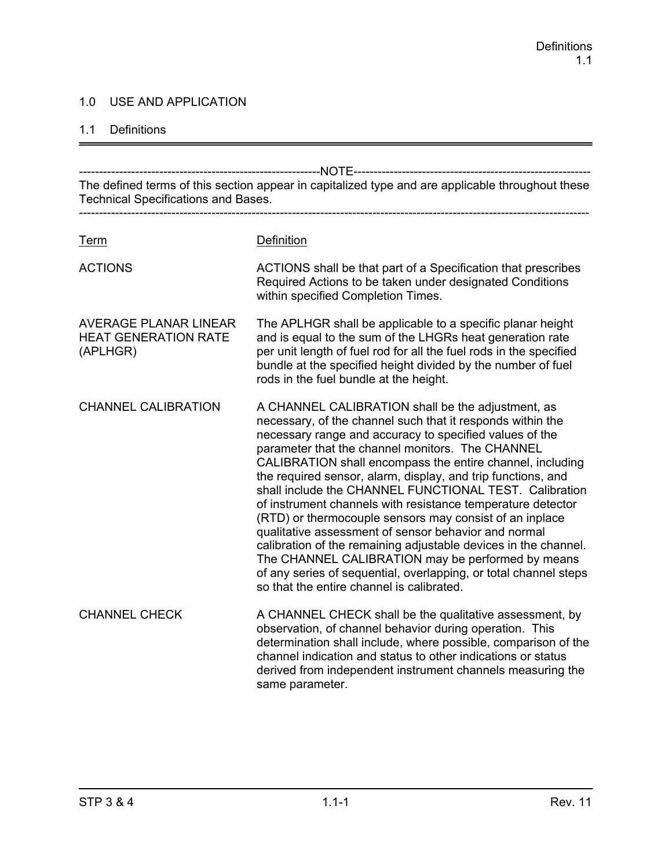## 1.0 USE AND APPLICATION

#### 1.1 Definitions

------------------------------------------------------------NOTE----------------------------------------------------------- The defined terms of this section appear in capitalized type and are applicable throughout these Technical Specifications and Bases. ------------------------------------------------------------------------------------------------------------------------------- Term Definition ACTIONS ACTIONS shall be that part of a Specification that prescribes Required Actions to be taken under designated Conditions within specified Completion Times. AVERAGE PLANAR LINEAR The APLHGR shall be applicable to a specific planar height HEAT GENERATION RATE and is equal to the sum of the LHGRs heat generation rate (APLHGR) per unit length of fuel rod for all the fuel rods in the specified bundle at the specified height divided by the number of fuel rods in the fuel bundle at the height. CHANNEL CALIBRATION A CHANNEL CALIBRATION shall be the adjustment, as necessary, of the channel such that it responds within the necessary range and accuracy to specified values of the parameter that the channel monitors. The CHANNEL CALIBRATION shall encompass the entire channel, including the required sensor, alarm, display, and trip functions, and shall include the CHANNEL FUNCTIONAL TEST. Calibration of instrument channels with resistance temperature detector (RTD) or thermocouple sensors may consist of an inplace qualitative assessment of sensor behavior and normal calibration of the remaining adjustable devices in the channel. The CHANNEL CALIBRATION may be performed by means of any series of sequential, overlapping, or total channel steps so that the entire channel is calibrated. CHANNEL CHECK A CHANNEL CHECK shall be the qualitative assessment, by observation, of channel behavior during operation. This determination shall include, where possible, comparison of the channel indication and status to other indications or status derived from independent instrument channels measuring the same parameter.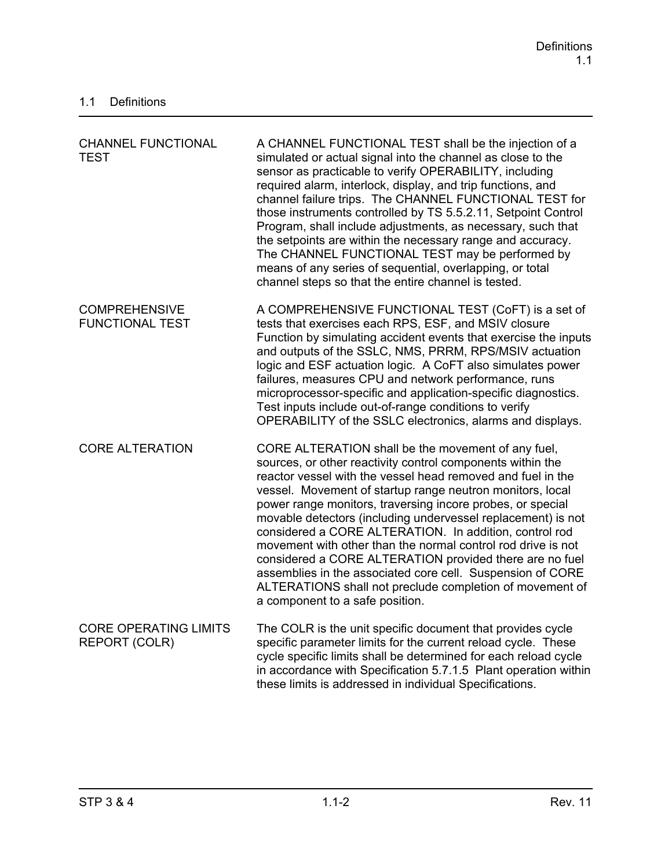| <b>CHANNEL FUNCTIONAL</b><br><b>TEST</b>             | A CHANNEL FUNCTIONAL TEST shall be the injection of a<br>simulated or actual signal into the channel as close to the<br>sensor as practicable to verify OPERABILITY, including<br>required alarm, interlock, display, and trip functions, and<br>channel failure trips. The CHANNEL FUNCTIONAL TEST for<br>those instruments controlled by TS 5.5.2.11, Setpoint Control<br>Program, shall include adjustments, as necessary, such that<br>the setpoints are within the necessary range and accuracy.<br>The CHANNEL FUNCTIONAL TEST may be performed by<br>means of any series of sequential, overlapping, or total<br>channel steps so that the entire channel is tested.                                                  |
|------------------------------------------------------|------------------------------------------------------------------------------------------------------------------------------------------------------------------------------------------------------------------------------------------------------------------------------------------------------------------------------------------------------------------------------------------------------------------------------------------------------------------------------------------------------------------------------------------------------------------------------------------------------------------------------------------------------------------------------------------------------------------------------|
| <b>COMPREHENSIVE</b><br><b>FUNCTIONAL TEST</b>       | A COMPREHENSIVE FUNCTIONAL TEST (CoFT) is a set of<br>tests that exercises each RPS, ESF, and MSIV closure<br>Function by simulating accident events that exercise the inputs<br>and outputs of the SSLC, NMS, PRRM, RPS/MSIV actuation<br>logic and ESF actuation logic. A CoFT also simulates power<br>failures, measures CPU and network performance, runs<br>microprocessor-specific and application-specific diagnostics.<br>Test inputs include out-of-range conditions to verify<br>OPERABILITY of the SSLC electronics, alarms and displays.                                                                                                                                                                         |
| <b>CORE ALTERATION</b>                               | CORE ALTERATION shall be the movement of any fuel,<br>sources, or other reactivity control components within the<br>reactor vessel with the vessel head removed and fuel in the<br>vessel. Movement of startup range neutron monitors, local<br>power range monitors, traversing incore probes, or special<br>movable detectors (including undervessel replacement) is not<br>considered a CORE ALTERATION. In addition, control rod<br>movement with other than the normal control rod drive is not<br>considered a CORE ALTERATION provided there are no fuel<br>assemblies in the associated core cell. Suspension of CORE<br>ALTERATIONS shall not preclude completion of movement of<br>a component to a safe position. |
| <b>CORE OPERATING LIMITS</b><br><b>REPORT (COLR)</b> | The COLR is the unit specific document that provides cycle<br>specific parameter limits for the current reload cycle. These<br>cycle specific limits shall be determined for each reload cycle<br>in accordance with Specification 5.7.1.5 Plant operation within<br>these limits is addressed in individual Specifications.                                                                                                                                                                                                                                                                                                                                                                                                 |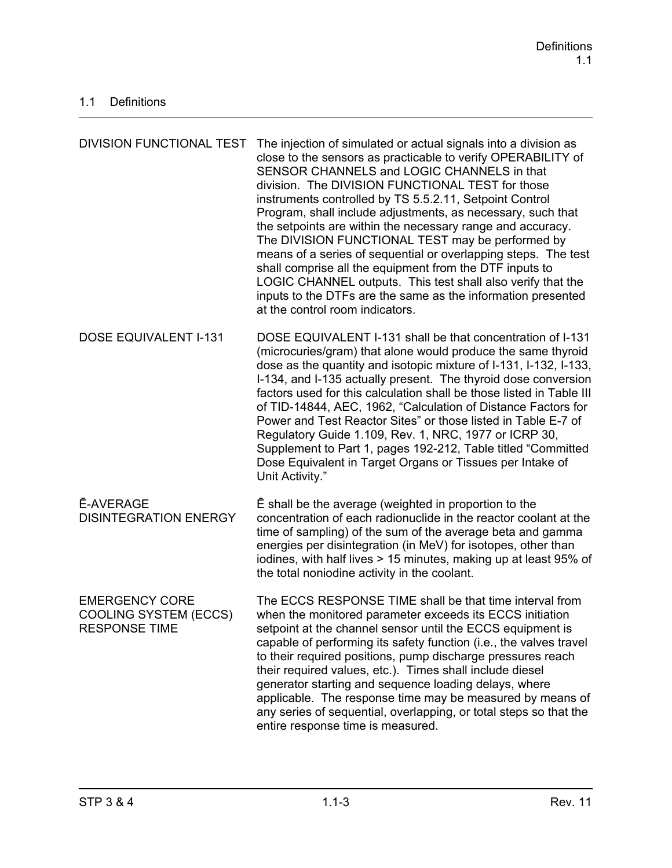| <b>DIVISION FUNCTIONAL TEST</b>                                               | The injection of simulated or actual signals into a division as<br>close to the sensors as practicable to verify OPERABILITY of<br>SENSOR CHANNELS and LOGIC CHANNELS in that<br>division. The DIVISION FUNCTIONAL TEST for those<br>instruments controlled by TS 5.5.2.11, Setpoint Control<br>Program, shall include adjustments, as necessary, such that<br>the setpoints are within the necessary range and accuracy.<br>The DIVISION FUNCTIONAL TEST may be performed by<br>means of a series of sequential or overlapping steps. The test<br>shall comprise all the equipment from the DTF inputs to<br>LOGIC CHANNEL outputs. This test shall also verify that the<br>inputs to the DTFs are the same as the information presented<br>at the control room indicators. |
|-------------------------------------------------------------------------------|------------------------------------------------------------------------------------------------------------------------------------------------------------------------------------------------------------------------------------------------------------------------------------------------------------------------------------------------------------------------------------------------------------------------------------------------------------------------------------------------------------------------------------------------------------------------------------------------------------------------------------------------------------------------------------------------------------------------------------------------------------------------------|
| <b>DOSE EQUIVALENT I-131</b>                                                  | DOSE EQUIVALENT I-131 shall be that concentration of I-131<br>(microcuries/gram) that alone would produce the same thyroid<br>dose as the quantity and isotopic mixture of I-131, I-132, I-133,<br>I-134, and I-135 actually present. The thyroid dose conversion<br>factors used for this calculation shall be those listed in Table III<br>of TID-14844, AEC, 1962, "Calculation of Distance Factors for<br>Power and Test Reactor Sites" or those listed in Table E-7 of<br>Regulatory Guide 1.109, Rev. 1, NRC, 1977 or ICRP 30,<br>Supplement to Part 1, pages 192-212, Table titled "Committed"<br>Dose Equivalent in Target Organs or Tissues per Intake of<br>Unit Activity."                                                                                        |
| <b>Ē-AVERAGE</b><br><b>DISINTEGRATION ENERGY</b>                              | E shall be the average (weighted in proportion to the<br>concentration of each radionuclide in the reactor coolant at the<br>time of sampling) of the sum of the average beta and gamma<br>energies per disintegration (in MeV) for isotopes, other than<br>iodines, with half lives > 15 minutes, making up at least 95% of<br>the total noniodine activity in the coolant.                                                                                                                                                                                                                                                                                                                                                                                                 |
| <b>EMERGENCY CORE</b><br><b>COOLING SYSTEM (ECCS)</b><br><b>RESPONSE TIME</b> | The ECCS RESPONSE TIME shall be that time interval from<br>when the monitored parameter exceeds its ECCS initiation<br>setpoint at the channel sensor until the ECCS equipment is<br>capable of performing its safety function (i.e., the valves travel<br>to their required positions, pump discharge pressures reach<br>their required values, etc.). Times shall include diesel<br>generator starting and sequence loading delays, where<br>applicable. The response time may be measured by means of<br>any series of sequential, overlapping, or total steps so that the<br>entire response time is measured.                                                                                                                                                           |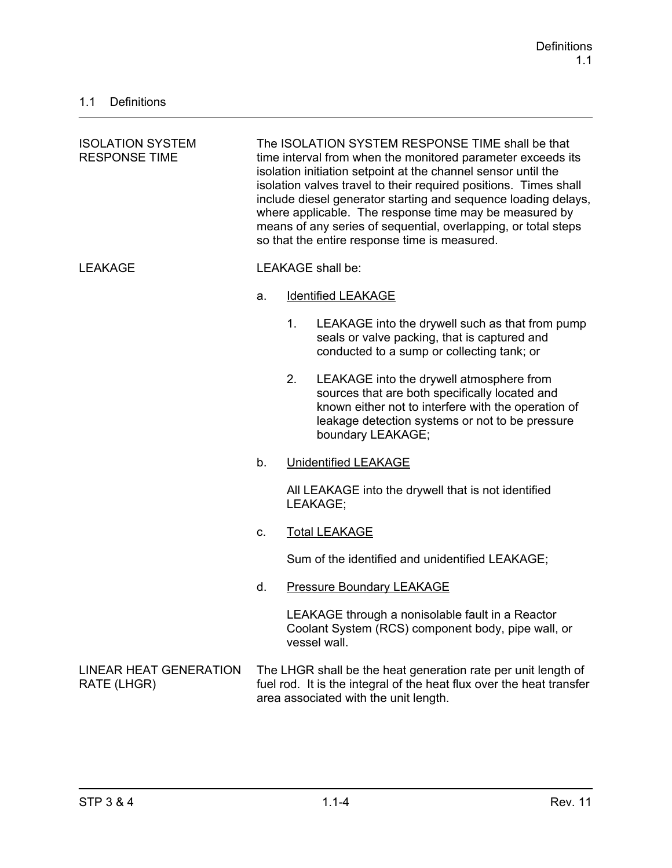| <b>ISOLATION SYSTEM</b><br><b>RESPONSE TIME</b> | The ISOLATION SYSTEM RESPONSE TIME shall be that<br>time interval from when the monitored parameter exceeds its<br>isolation initiation setpoint at the channel sensor until the<br>isolation valves travel to their required positions. Times shall<br>include diesel generator starting and sequence loading delays,<br>where applicable. The response time may be measured by<br>means of any series of sequential, overlapping, or total steps<br>so that the entire response time is measured. |    |                                                                                                                                                                                                                           |
|-------------------------------------------------|-----------------------------------------------------------------------------------------------------------------------------------------------------------------------------------------------------------------------------------------------------------------------------------------------------------------------------------------------------------------------------------------------------------------------------------------------------------------------------------------------------|----|---------------------------------------------------------------------------------------------------------------------------------------------------------------------------------------------------------------------------|
| <b>LEAKAGE</b>                                  |                                                                                                                                                                                                                                                                                                                                                                                                                                                                                                     |    | <b>LEAKAGE</b> shall be:                                                                                                                                                                                                  |
|                                                 | a.                                                                                                                                                                                                                                                                                                                                                                                                                                                                                                  |    | <b>Identified LEAKAGE</b>                                                                                                                                                                                                 |
|                                                 |                                                                                                                                                                                                                                                                                                                                                                                                                                                                                                     | 1. | LEAKAGE into the drywell such as that from pump<br>seals or valve packing, that is captured and<br>conducted to a sump or collecting tank; or                                                                             |
|                                                 |                                                                                                                                                                                                                                                                                                                                                                                                                                                                                                     | 2. | LEAKAGE into the drywell atmosphere from<br>sources that are both specifically located and<br>known either not to interfere with the operation of<br>leakage detection systems or not to be pressure<br>boundary LEAKAGE; |
|                                                 | b.                                                                                                                                                                                                                                                                                                                                                                                                                                                                                                  |    | <b>Unidentified LEAKAGE</b>                                                                                                                                                                                               |
|                                                 |                                                                                                                                                                                                                                                                                                                                                                                                                                                                                                     |    | All LEAKAGE into the drywell that is not identified<br>LEAKAGE;                                                                                                                                                           |
|                                                 | C.                                                                                                                                                                                                                                                                                                                                                                                                                                                                                                  |    | <b>Total LEAKAGE</b>                                                                                                                                                                                                      |
|                                                 |                                                                                                                                                                                                                                                                                                                                                                                                                                                                                                     |    | Sum of the identified and unidentified LEAKAGE;                                                                                                                                                                           |
|                                                 | d.                                                                                                                                                                                                                                                                                                                                                                                                                                                                                                  |    | <b>Pressure Boundary LEAKAGE</b>                                                                                                                                                                                          |
|                                                 |                                                                                                                                                                                                                                                                                                                                                                                                                                                                                                     |    | LEAKAGE through a nonisolable fault in a Reactor<br>Coolant System (RCS) component body, pipe wall, or<br>vessel wall.                                                                                                    |
| <b>LINEAR HEAT GENERATION</b><br>RATE (LHGR)    |                                                                                                                                                                                                                                                                                                                                                                                                                                                                                                     |    | The LHGR shall be the heat generation rate per unit length of<br>fuel rod. It is the integral of the heat flux over the heat transfer<br>area associated with the unit length.                                            |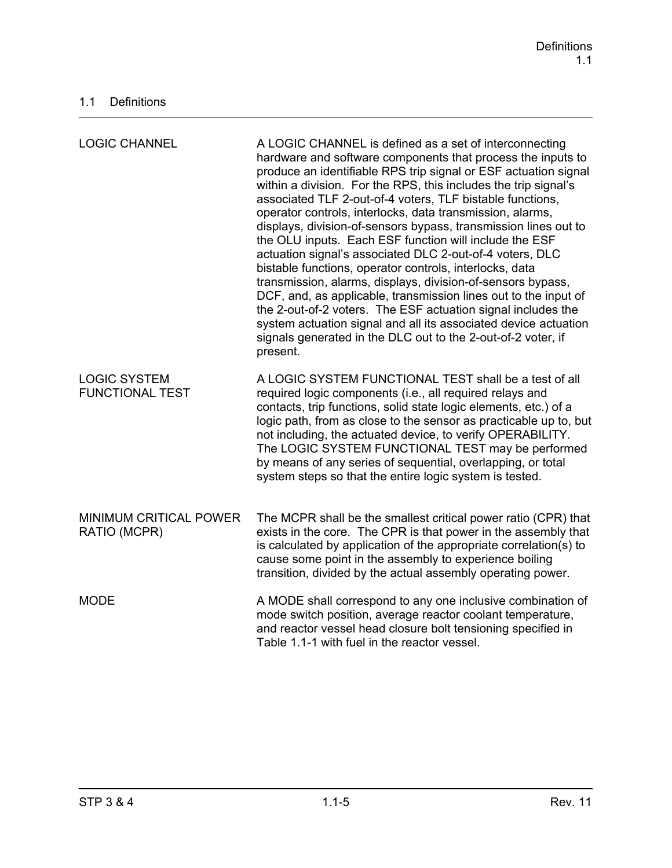| <b>LOGIC CHANNEL</b>                          | A LOGIC CHANNEL is defined as a set of interconnecting<br>hardware and software components that process the inputs to<br>produce an identifiable RPS trip signal or ESF actuation signal<br>within a division. For the RPS, this includes the trip signal's<br>associated TLF 2-out-of-4 voters, TLF bistable functions,<br>operator controls, interlocks, data transmission, alarms,<br>displays, division-of-sensors bypass, transmission lines out to<br>the OLU inputs. Each ESF function will include the ESF<br>actuation signal's associated DLC 2-out-of-4 voters, DLC<br>bistable functions, operator controls, interlocks, data<br>transmission, alarms, displays, division-of-sensors bypass,<br>DCF, and, as applicable, transmission lines out to the input of<br>the 2-out-of-2 voters. The ESF actuation signal includes the<br>system actuation signal and all its associated device actuation<br>signals generated in the DLC out to the 2-out-of-2 voter, if<br>present. |
|-----------------------------------------------|--------------------------------------------------------------------------------------------------------------------------------------------------------------------------------------------------------------------------------------------------------------------------------------------------------------------------------------------------------------------------------------------------------------------------------------------------------------------------------------------------------------------------------------------------------------------------------------------------------------------------------------------------------------------------------------------------------------------------------------------------------------------------------------------------------------------------------------------------------------------------------------------------------------------------------------------------------------------------------------------|
| <b>LOGIC SYSTEM</b><br><b>FUNCTIONAL TEST</b> | A LOGIC SYSTEM FUNCTIONAL TEST shall be a test of all<br>required logic components (i.e., all required relays and<br>contacts, trip functions, solid state logic elements, etc.) of a<br>logic path, from as close to the sensor as practicable up to, but<br>not including, the actuated device, to verify OPERABILITY.<br>The LOGIC SYSTEM FUNCTIONAL TEST may be performed<br>by means of any series of sequential, overlapping, or total<br>system steps so that the entire logic system is tested.                                                                                                                                                                                                                                                                                                                                                                                                                                                                                    |
| MINIMUM CRITICAL POWER<br>RATIO (MCPR)        | The MCPR shall be the smallest critical power ratio (CPR) that<br>exists in the core. The CPR is that power in the assembly that<br>is calculated by application of the appropriate correlation(s) to<br>cause some point in the assembly to experience boiling<br>transition, divided by the actual assembly operating power.                                                                                                                                                                                                                                                                                                                                                                                                                                                                                                                                                                                                                                                             |
| <b>MODE</b>                                   | A MODE shall correspond to any one inclusive combination of<br>mode switch position, average reactor coolant temperature,<br>and reactor vessel head closure bolt tensioning specified in<br>Table 1.1-1 with fuel in the reactor vessel.                                                                                                                                                                                                                                                                                                                                                                                                                                                                                                                                                                                                                                                                                                                                                  |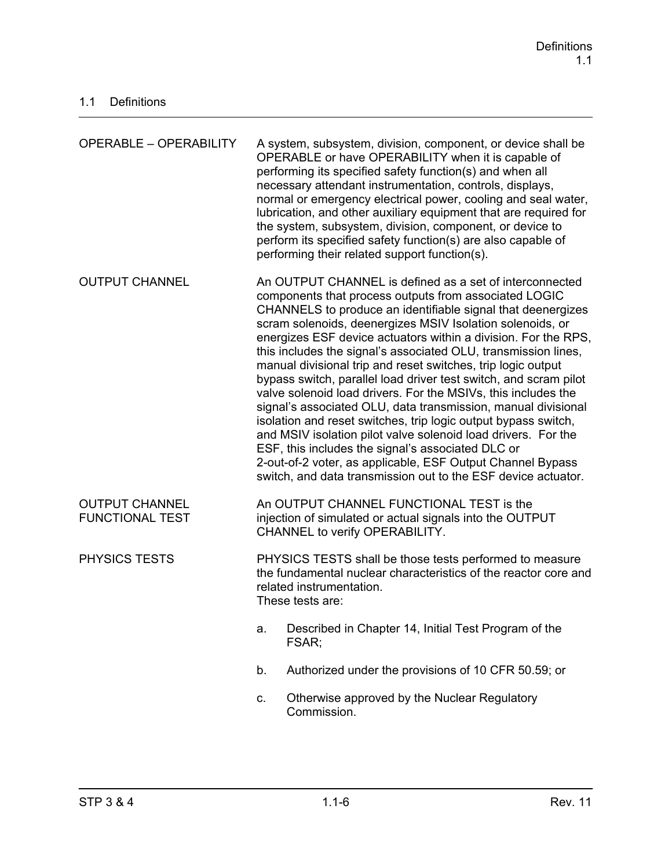| <b>OPERABLE - OPERABILITY</b>                   |                                                                                                                                                                                                                                                                                                                                                                                                                                                                                                                                                                                                                                                                                                                                                                                                                                                                                                                                                                               | A system, subsystem, division, component, or device shall be<br>OPERABLE or have OPERABILITY when it is capable of<br>performing its specified safety function(s) and when all<br>necessary attendant instrumentation, controls, displays,<br>normal or emergency electrical power, cooling and seal water,<br>lubrication, and other auxiliary equipment that are required for<br>the system, subsystem, division, component, or device to<br>perform its specified safety function(s) are also capable of<br>performing their related support function(s). |  |
|-------------------------------------------------|-------------------------------------------------------------------------------------------------------------------------------------------------------------------------------------------------------------------------------------------------------------------------------------------------------------------------------------------------------------------------------------------------------------------------------------------------------------------------------------------------------------------------------------------------------------------------------------------------------------------------------------------------------------------------------------------------------------------------------------------------------------------------------------------------------------------------------------------------------------------------------------------------------------------------------------------------------------------------------|--------------------------------------------------------------------------------------------------------------------------------------------------------------------------------------------------------------------------------------------------------------------------------------------------------------------------------------------------------------------------------------------------------------------------------------------------------------------------------------------------------------------------------------------------------------|--|
| <b>OUTPUT CHANNEL</b>                           | An OUTPUT CHANNEL is defined as a set of interconnected<br>components that process outputs from associated LOGIC<br>CHANNELS to produce an identifiable signal that deenergizes<br>scram solenoids, deenergizes MSIV Isolation solenoids, or<br>energizes ESF device actuators within a division. For the RPS,<br>this includes the signal's associated OLU, transmission lines,<br>manual divisional trip and reset switches, trip logic output<br>bypass switch, parallel load driver test switch, and scram pilot<br>valve solenoid load drivers. For the MSIVs, this includes the<br>signal's associated OLU, data transmission, manual divisional<br>isolation and reset switches, trip logic output bypass switch,<br>and MSIV isolation pilot valve solenoid load drivers. For the<br>ESF, this includes the signal's associated DLC or<br>2-out-of-2 voter, as applicable, ESF Output Channel Bypass<br>switch, and data transmission out to the ESF device actuator. |                                                                                                                                                                                                                                                                                                                                                                                                                                                                                                                                                              |  |
| <b>OUTPUT CHANNEL</b><br><b>FUNCTIONAL TEST</b> | An OUTPUT CHANNEL FUNCTIONAL TEST is the<br>injection of simulated or actual signals into the OUTPUT<br>CHANNEL to verify OPERABILITY.                                                                                                                                                                                                                                                                                                                                                                                                                                                                                                                                                                                                                                                                                                                                                                                                                                        |                                                                                                                                                                                                                                                                                                                                                                                                                                                                                                                                                              |  |
| PHYSICS TESTS                                   | PHYSICS TESTS shall be those tests performed to measure<br>the fundamental nuclear characteristics of the reactor core and<br>related instrumentation.<br>These tests are:                                                                                                                                                                                                                                                                                                                                                                                                                                                                                                                                                                                                                                                                                                                                                                                                    |                                                                                                                                                                                                                                                                                                                                                                                                                                                                                                                                                              |  |
|                                                 | a.                                                                                                                                                                                                                                                                                                                                                                                                                                                                                                                                                                                                                                                                                                                                                                                                                                                                                                                                                                            | Described in Chapter 14, Initial Test Program of the<br>FSAR;                                                                                                                                                                                                                                                                                                                                                                                                                                                                                                |  |
|                                                 | b.                                                                                                                                                                                                                                                                                                                                                                                                                                                                                                                                                                                                                                                                                                                                                                                                                                                                                                                                                                            | Authorized under the provisions of 10 CFR 50.59; or                                                                                                                                                                                                                                                                                                                                                                                                                                                                                                          |  |
|                                                 | C.                                                                                                                                                                                                                                                                                                                                                                                                                                                                                                                                                                                                                                                                                                                                                                                                                                                                                                                                                                            | Otherwise approved by the Nuclear Regulatory<br>Commission.                                                                                                                                                                                                                                                                                                                                                                                                                                                                                                  |  |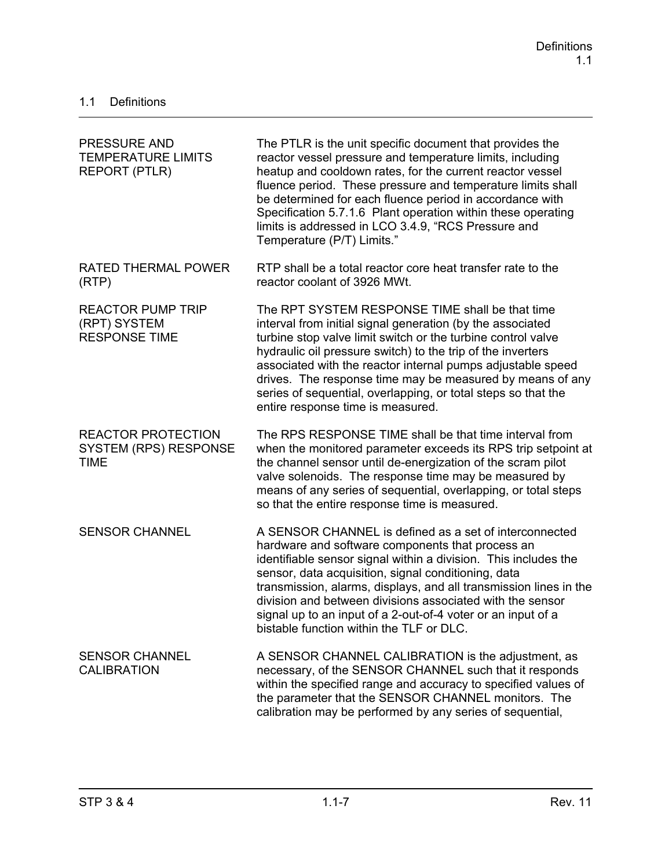| <b>PRESSURE AND</b><br><b>TEMPERATURE LIMITS</b><br><b>REPORT (PTLR)</b> | The PTLR is the unit specific document that provides the<br>reactor vessel pressure and temperature limits, including<br>heatup and cooldown rates, for the current reactor vessel<br>fluence period. These pressure and temperature limits shall<br>be determined for each fluence period in accordance with<br>Specification 5.7.1.6 Plant operation within these operating<br>limits is addressed in LCO 3.4.9, "RCS Pressure and<br>Temperature (P/T) Limits."                 |
|--------------------------------------------------------------------------|------------------------------------------------------------------------------------------------------------------------------------------------------------------------------------------------------------------------------------------------------------------------------------------------------------------------------------------------------------------------------------------------------------------------------------------------------------------------------------|
| <b>RATED THERMAL POWER</b><br>(RTP)                                      | RTP shall be a total reactor core heat transfer rate to the<br>reactor coolant of 3926 MWt.                                                                                                                                                                                                                                                                                                                                                                                        |
| <b>REACTOR PUMP TRIP</b><br>(RPT) SYSTEM<br><b>RESPONSE TIME</b>         | The RPT SYSTEM RESPONSE TIME shall be that time<br>interval from initial signal generation (by the associated<br>turbine stop valve limit switch or the turbine control valve<br>hydraulic oil pressure switch) to the trip of the inverters<br>associated with the reactor internal pumps adjustable speed<br>drives. The response time may be measured by means of any<br>series of sequential, overlapping, or total steps so that the<br>entire response time is measured.     |
| <b>REACTOR PROTECTION</b><br><b>SYSTEM (RPS) RESPONSE</b><br><b>TIME</b> | The RPS RESPONSE TIME shall be that time interval from<br>when the monitored parameter exceeds its RPS trip setpoint at<br>the channel sensor until de-energization of the scram pilot<br>valve solenoids. The response time may be measured by<br>means of any series of sequential, overlapping, or total steps<br>so that the entire response time is measured.                                                                                                                 |
| <b>SENSOR CHANNEL</b>                                                    | A SENSOR CHANNEL is defined as a set of interconnected<br>hardware and software components that process an<br>identifiable sensor signal within a division. This includes the<br>sensor, data acquisition, signal conditioning, data<br>transmission, alarms, displays, and all transmission lines in the<br>division and between divisions associated with the sensor<br>signal up to an input of a 2-out-of-4 voter or an input of a<br>bistable function within the TLF or DLC. |
| <b>SENSOR CHANNEL</b><br><b>CALIBRATION</b>                              | A SENSOR CHANNEL CALIBRATION is the adjustment, as<br>necessary, of the SENSOR CHANNEL such that it responds<br>within the specified range and accuracy to specified values of<br>the parameter that the SENSOR CHANNEL monitors. The<br>calibration may be performed by any series of sequential,                                                                                                                                                                                 |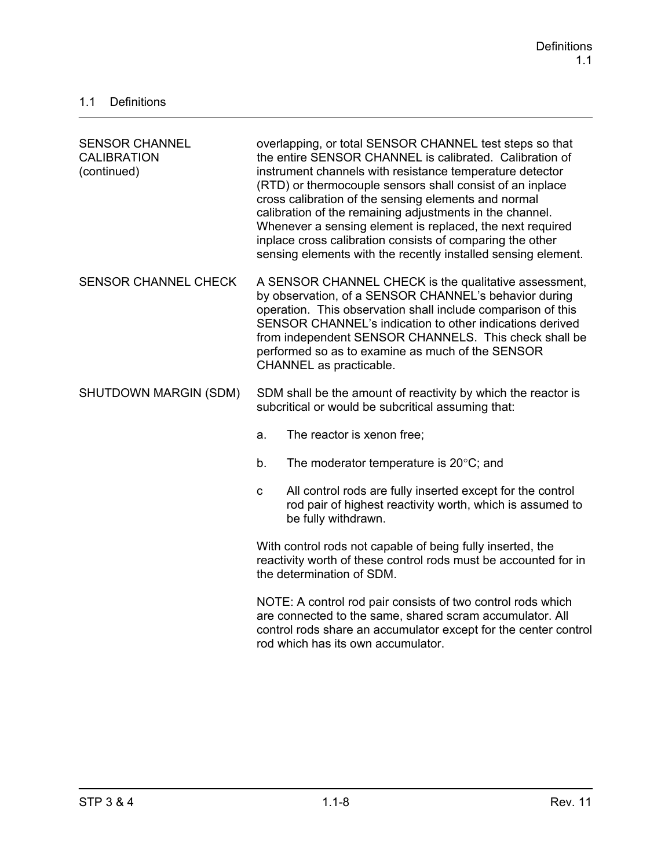| <b>SENSOR CHANNEL</b><br><b>CALIBRATION</b><br>(continued) | overlapping, or total SENSOR CHANNEL test steps so that<br>the entire SENSOR CHANNEL is calibrated. Calibration of<br>instrument channels with resistance temperature detector<br>(RTD) or thermocouple sensors shall consist of an inplace<br>cross calibration of the sensing elements and normal<br>calibration of the remaining adjustments in the channel.<br>Whenever a sensing element is replaced, the next required<br>inplace cross calibration consists of comparing the other<br>sensing elements with the recently installed sensing element. |
|------------------------------------------------------------|------------------------------------------------------------------------------------------------------------------------------------------------------------------------------------------------------------------------------------------------------------------------------------------------------------------------------------------------------------------------------------------------------------------------------------------------------------------------------------------------------------------------------------------------------------|
| <b>SENSOR CHANNEL CHECK</b>                                | A SENSOR CHANNEL CHECK is the qualitative assessment,<br>by observation, of a SENSOR CHANNEL's behavior during<br>operation. This observation shall include comparison of this<br>SENSOR CHANNEL's indication to other indications derived<br>from independent SENSOR CHANNELS. This check shall be<br>performed so as to examine as much of the SENSOR<br>CHANNEL as practicable.                                                                                                                                                                         |
| SHUTDOWN MARGIN (SDM)                                      | SDM shall be the amount of reactivity by which the reactor is<br>subcritical or would be subcritical assuming that:                                                                                                                                                                                                                                                                                                                                                                                                                                        |
|                                                            | The reactor is xenon free;<br>a.                                                                                                                                                                                                                                                                                                                                                                                                                                                                                                                           |
|                                                            | The moderator temperature is $20^{\circ}$ C; and<br>b.                                                                                                                                                                                                                                                                                                                                                                                                                                                                                                     |
|                                                            | All control rods are fully inserted except for the control<br>$\mathbf{C}$<br>rod pair of highest reactivity worth, which is assumed to<br>be fully withdrawn.                                                                                                                                                                                                                                                                                                                                                                                             |
|                                                            | With control rods not capable of being fully inserted, the<br>reactivity worth of these control rods must be accounted for in<br>the determination of SDM.                                                                                                                                                                                                                                                                                                                                                                                                 |
|                                                            | NOTE: A control rod pair consists of two control rods which<br>are connected to the same, shared scram accumulator. All<br>control rods share an accumulator except for the center control<br>rod which has its own accumulator.                                                                                                                                                                                                                                                                                                                           |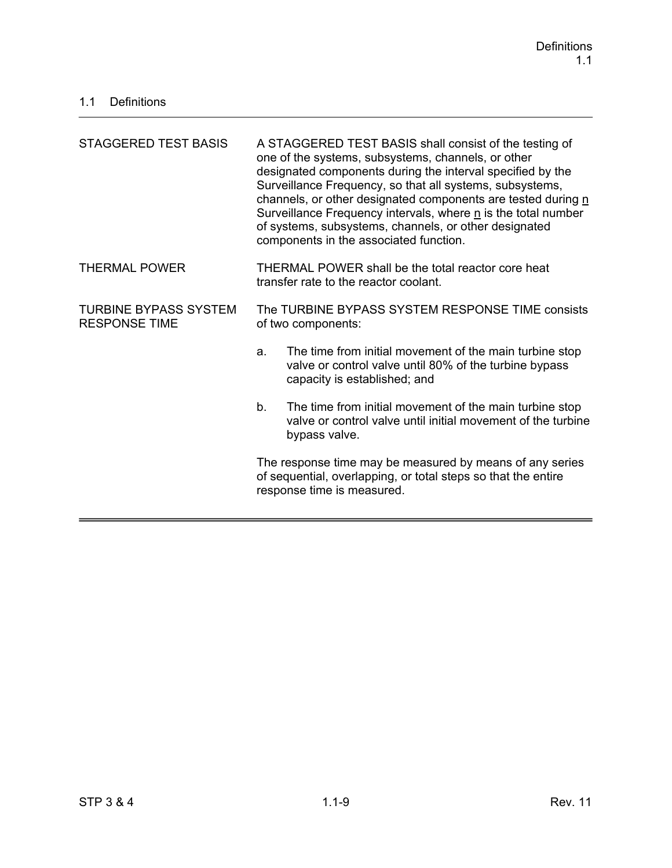| STAGGERED TEST BASIS                                 | A STAGGERED TEST BASIS shall consist of the testing of<br>one of the systems, subsystems, channels, or other<br>designated components during the interval specified by the<br>Surveillance Frequency, so that all systems, subsystems,<br>channels, or other designated components are tested during n<br>Surveillance Frequency intervals, where n is the total number<br>of systems, subsystems, channels, or other designated<br>components in the associated function. |  |
|------------------------------------------------------|----------------------------------------------------------------------------------------------------------------------------------------------------------------------------------------------------------------------------------------------------------------------------------------------------------------------------------------------------------------------------------------------------------------------------------------------------------------------------|--|
| <b>THERMAL POWER</b>                                 | THERMAL POWER shall be the total reactor core heat<br>transfer rate to the reactor coolant.                                                                                                                                                                                                                                                                                                                                                                                |  |
| <b>TURBINE BYPASS SYSTEM</b><br><b>RESPONSE TIME</b> | The TURBINE BYPASS SYSTEM RESPONSE TIME consists<br>of two components:                                                                                                                                                                                                                                                                                                                                                                                                     |  |
|                                                      | The time from initial movement of the main turbine stop<br>a.<br>valve or control valve until 80% of the turbine bypass<br>capacity is established; and                                                                                                                                                                                                                                                                                                                    |  |
|                                                      | The time from initial movement of the main turbine stop<br>b.<br>valve or control valve until initial movement of the turbine<br>bypass valve.                                                                                                                                                                                                                                                                                                                             |  |
|                                                      | The response time may be measured by means of any series<br>of sequential, overlapping, or total steps so that the entire<br>response time is measured.                                                                                                                                                                                                                                                                                                                    |  |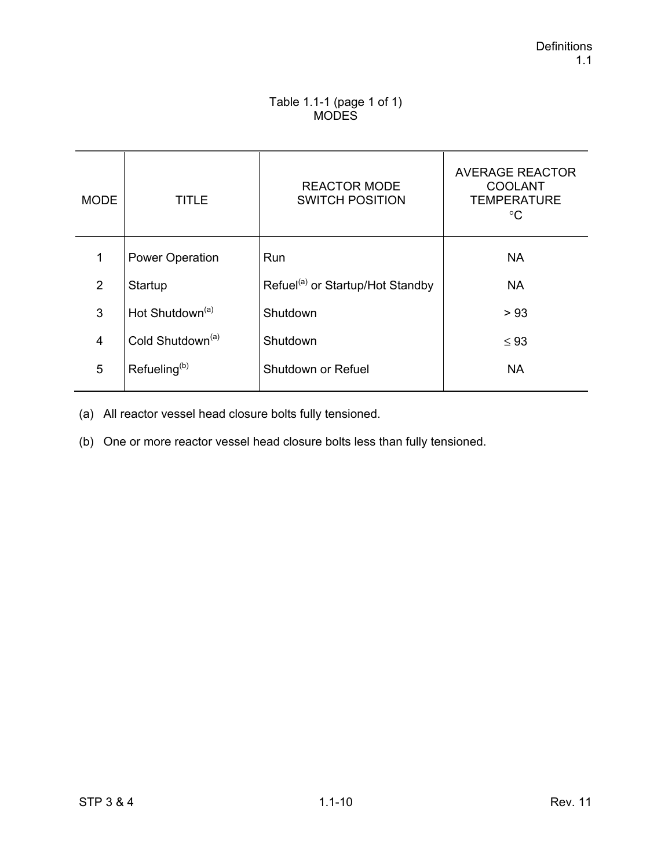## Table 1.1-1 (page 1 of 1) MODES

| <b>MODE</b>    | TITLE                        | <b>REACTOR MODE</b><br><b>SWITCH POSITION</b> | <b>AVERAGE REACTOR</b><br><b>COOLANT</b><br><b>TEMPERATURE</b><br>$^{\circ}C$ |
|----------------|------------------------------|-----------------------------------------------|-------------------------------------------------------------------------------|
| 1              | <b>Power Operation</b>       | Run                                           | <b>NA</b>                                                                     |
| 2              | Startup                      | Refuel <sup>(a)</sup> or Startup/Hot Standby  | <b>NA</b>                                                                     |
| 3              | Hot Shutdown <sup>(a)</sup>  | Shutdown                                      | > 93                                                                          |
| $\overline{4}$ | Cold Shutdown <sup>(a)</sup> | Shutdown                                      | $\leq 93$                                                                     |
| 5              | Refueling <sup>(b)</sup>     | Shutdown or Refuel                            | <b>NA</b>                                                                     |

(a) All reactor vessel head closure bolts fully tensioned.

(b) One or more reactor vessel head closure bolts less than fully tensioned.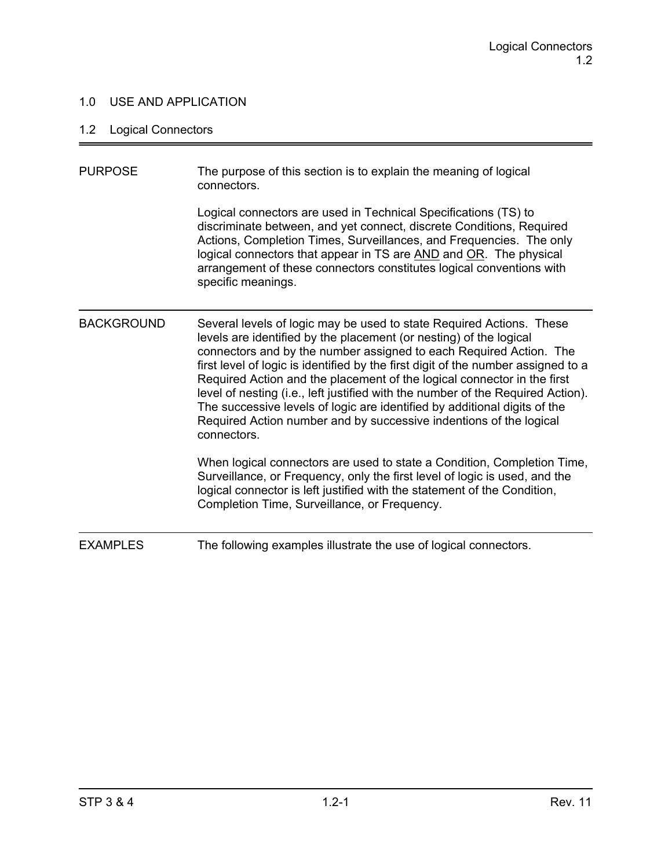## 1.0 USE AND APPLICATION

# 1.2 Logical Connectors

| <b>PURPOSE</b>    | The purpose of this section is to explain the meaning of logical<br>connectors.                                                                                                                                                                                                                                                                                                                                                                                                                                                                                                                                                       |
|-------------------|---------------------------------------------------------------------------------------------------------------------------------------------------------------------------------------------------------------------------------------------------------------------------------------------------------------------------------------------------------------------------------------------------------------------------------------------------------------------------------------------------------------------------------------------------------------------------------------------------------------------------------------|
|                   | Logical connectors are used in Technical Specifications (TS) to<br>discriminate between, and yet connect, discrete Conditions, Required<br>Actions, Completion Times, Surveillances, and Frequencies. The only<br>logical connectors that appear in TS are AND and OR. The physical<br>arrangement of these connectors constitutes logical conventions with<br>specific meanings.                                                                                                                                                                                                                                                     |
| <b>BACKGROUND</b> | Several levels of logic may be used to state Required Actions. These<br>levels are identified by the placement (or nesting) of the logical<br>connectors and by the number assigned to each Required Action. The<br>first level of logic is identified by the first digit of the number assigned to a<br>Required Action and the placement of the logical connector in the first<br>level of nesting (i.e., left justified with the number of the Required Action).<br>The successive levels of logic are identified by additional digits of the<br>Required Action number and by successive indentions of the logical<br>connectors. |
|                   | When logical connectors are used to state a Condition, Completion Time,<br>Surveillance, or Frequency, only the first level of logic is used, and the<br>logical connector is left justified with the statement of the Condition,<br>Completion Time, Surveillance, or Frequency.                                                                                                                                                                                                                                                                                                                                                     |
| <b>EXAMPLES</b>   | The following examples illustrate the use of logical connectors.                                                                                                                                                                                                                                                                                                                                                                                                                                                                                                                                                                      |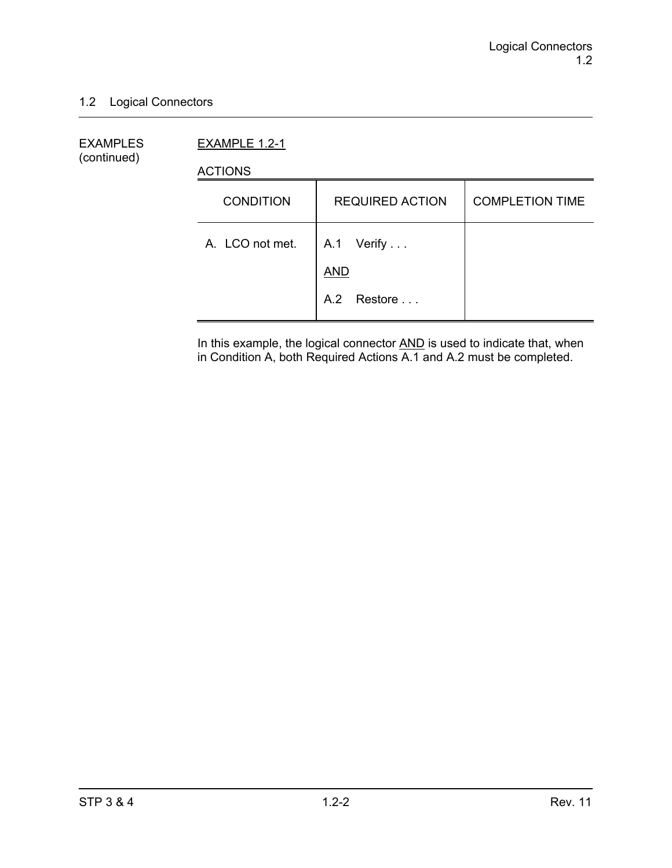## 1.2 Logical Connectors

EXAMPLES EXAMPLE 1.2-1 (continued)

ACTIONS

| <b>CONDITION</b> | <b>REQUIRED ACTION</b>   | <b>COMPLETION TIME</b> |
|------------------|--------------------------|------------------------|
| A. LCO not met.  | A.1 Verify<br><b>AND</b> |                        |
|                  | A.2 Restore              |                        |

In this example, the logical connector **AND** is used to indicate that, when in Condition A, both Required Actions A.1 and A.2 must be completed.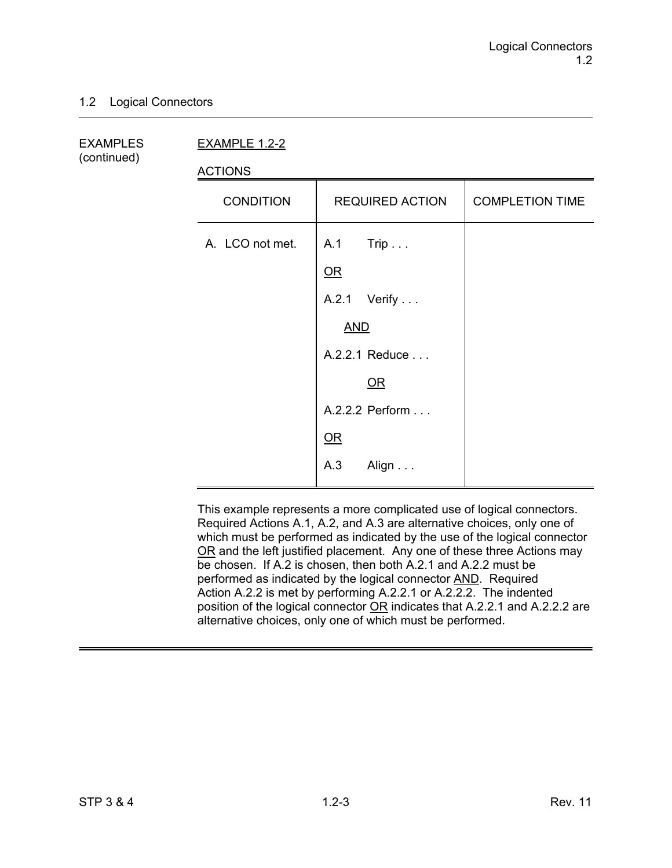## 1.2 Logical Connectors

(continued)

EXAMPLES EXAMPLE 1.2-2

ACTIONS

| <b>CONDITION</b> | <b>REQUIRED ACTION</b> | <b>COMPLETION TIME</b> |
|------------------|------------------------|------------------------|
| A. LCO not met.  | A.1 Trip               |                        |
|                  | QR                     |                        |
|                  | A.2.1 Verify           |                        |
|                  | <b>AND</b>             |                        |
|                  | A.2.2.1 Reduce         |                        |
|                  | OR                     |                        |
|                  | A.2.2.2 Perform        |                        |
|                  | QR                     |                        |
|                  | A.3<br>Align           |                        |

This example represents a more complicated use of logical connectors. Required Actions A.1, A.2, and A.3 are alternative choices, only one of which must be performed as indicated by the use of the logical connector OR and the left justified placement. Any one of these three Actions may be chosen. If A.2 is chosen, then both A.2.1 and A.2.2 must be performed as indicated by the logical connector AND. Required Action A.2.2 is met by performing A.2.2.1 or A.2.2.2. The indented position of the logical connector OR indicates that A.2.2.1 and A.2.2.2 are alternative choices, only one of which must be performed.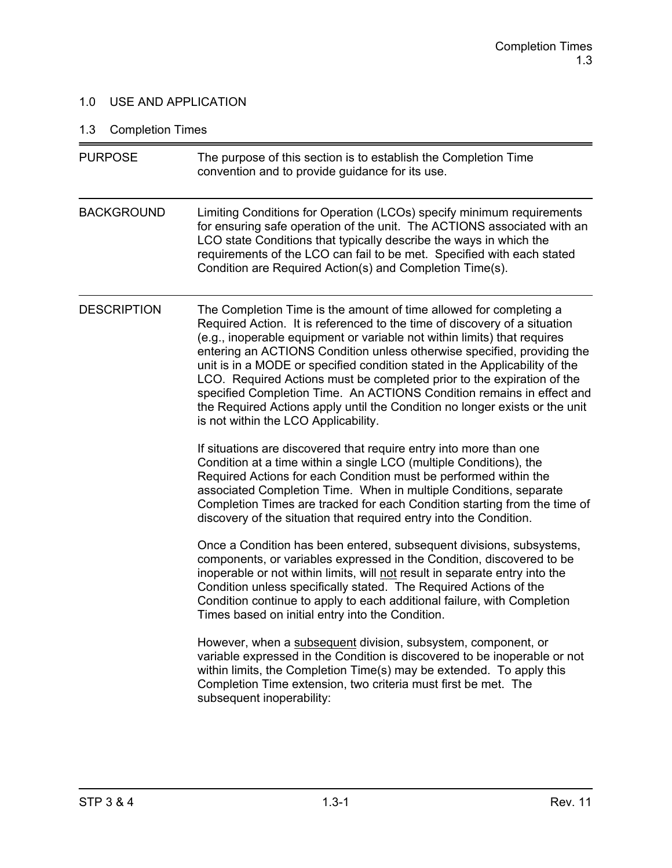## 1.0 USE AND APPLICATION

# 1.3 Completion Times

| <b>PURPOSE</b>     | The purpose of this section is to establish the Completion Time<br>convention and to provide guidance for its use.                                                                                                                                                                                                                                                                                                                                                                                                                                                                                                                                              |
|--------------------|-----------------------------------------------------------------------------------------------------------------------------------------------------------------------------------------------------------------------------------------------------------------------------------------------------------------------------------------------------------------------------------------------------------------------------------------------------------------------------------------------------------------------------------------------------------------------------------------------------------------------------------------------------------------|
| <b>BACKGROUND</b>  | Limiting Conditions for Operation (LCOs) specify minimum requirements<br>for ensuring safe operation of the unit. The ACTIONS associated with an<br>LCO state Conditions that typically describe the ways in which the<br>requirements of the LCO can fail to be met. Specified with each stated<br>Condition are Required Action(s) and Completion Time(s).                                                                                                                                                                                                                                                                                                    |
| <b>DESCRIPTION</b> | The Completion Time is the amount of time allowed for completing a<br>Required Action. It is referenced to the time of discovery of a situation<br>(e.g., inoperable equipment or variable not within limits) that requires<br>entering an ACTIONS Condition unless otherwise specified, providing the<br>unit is in a MODE or specified condition stated in the Applicability of the<br>LCO. Required Actions must be completed prior to the expiration of the<br>specified Completion Time. An ACTIONS Condition remains in effect and<br>the Required Actions apply until the Condition no longer exists or the unit<br>is not within the LCO Applicability. |
|                    | If situations are discovered that require entry into more than one<br>Condition at a time within a single LCO (multiple Conditions), the<br>Required Actions for each Condition must be performed within the<br>associated Completion Time. When in multiple Conditions, separate<br>Completion Times are tracked for each Condition starting from the time of<br>discovery of the situation that required entry into the Condition.                                                                                                                                                                                                                            |
|                    | Once a Condition has been entered, subsequent divisions, subsystems,<br>components, or variables expressed in the Condition, discovered to be<br>inoperable or not within limits, will not result in separate entry into the<br>Condition unless specifically stated. The Required Actions of the<br>Condition continue to apply to each additional failure, with Completion<br>Times based on initial entry into the Condition.                                                                                                                                                                                                                                |
|                    | However, when a subsequent division, subsystem, component, or<br>variable expressed in the Condition is discovered to be inoperable or not<br>within limits, the Completion Time(s) may be extended. To apply this<br>Completion Time extension, two criteria must first be met. The<br>subsequent inoperability:                                                                                                                                                                                                                                                                                                                                               |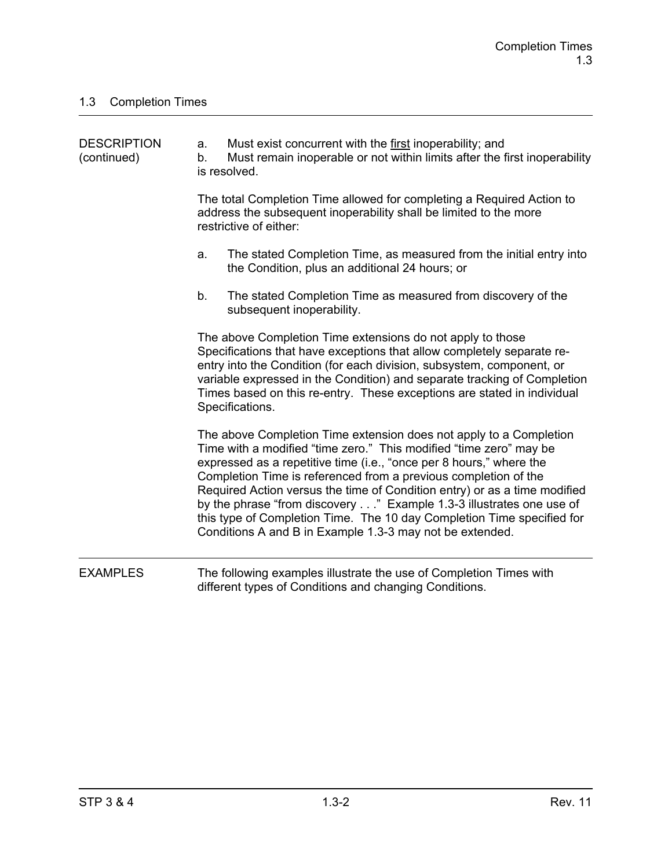| <b>DESCRIPTION</b><br>(continued) | a.<br>b. | Must exist concurrent with the first inoperability; and<br>Must remain inoperable or not within limits after the first inoperability<br>is resolved.                                                                                                                                                                                                                                                                                                                                                                                                                         |
|-----------------------------------|----------|------------------------------------------------------------------------------------------------------------------------------------------------------------------------------------------------------------------------------------------------------------------------------------------------------------------------------------------------------------------------------------------------------------------------------------------------------------------------------------------------------------------------------------------------------------------------------|
|                                   |          | The total Completion Time allowed for completing a Required Action to<br>address the subsequent inoperability shall be limited to the more<br>restrictive of either:                                                                                                                                                                                                                                                                                                                                                                                                         |
|                                   | a.       | The stated Completion Time, as measured from the initial entry into<br>the Condition, plus an additional 24 hours; or                                                                                                                                                                                                                                                                                                                                                                                                                                                        |
|                                   | b.       | The stated Completion Time as measured from discovery of the<br>subsequent inoperability.                                                                                                                                                                                                                                                                                                                                                                                                                                                                                    |
|                                   |          | The above Completion Time extensions do not apply to those<br>Specifications that have exceptions that allow completely separate re-<br>entry into the Condition (for each division, subsystem, component, or<br>variable expressed in the Condition) and separate tracking of Completion<br>Times based on this re-entry. These exceptions are stated in individual<br>Specifications.                                                                                                                                                                                      |
|                                   |          | The above Completion Time extension does not apply to a Completion<br>Time with a modified "time zero." This modified "time zero" may be<br>expressed as a repetitive time (i.e., "once per 8 hours," where the<br>Completion Time is referenced from a previous completion of the<br>Required Action versus the time of Condition entry) or as a time modified<br>by the phrase "from discovery" Example 1.3-3 illustrates one use of<br>this type of Completion Time. The 10 day Completion Time specified for<br>Conditions A and B in Example 1.3-3 may not be extended. |
| <b>EXAMPLES</b>                   |          | The following examples illustrate the use of Completion Times with<br>different types of Conditions and changing Conditions.                                                                                                                                                                                                                                                                                                                                                                                                                                                 |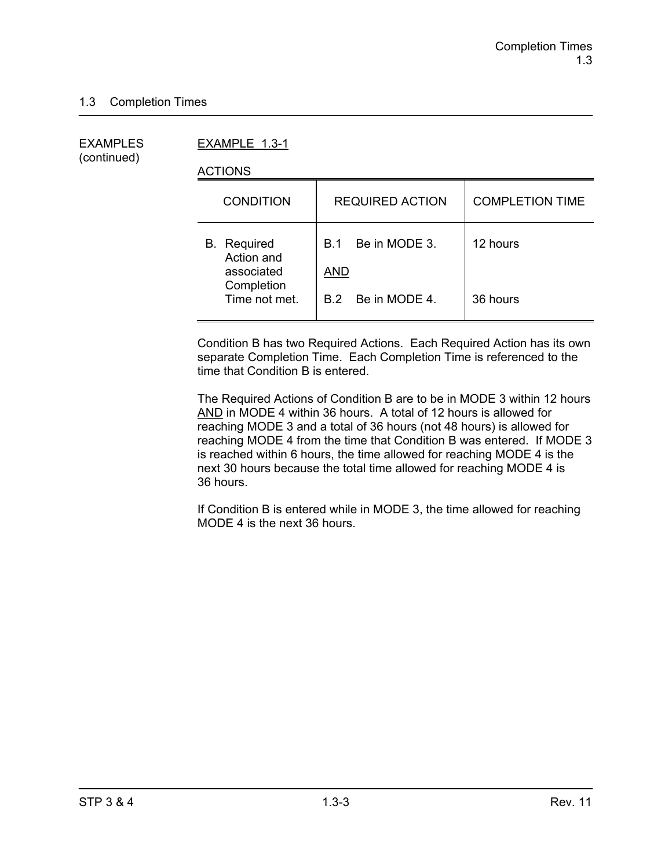(continued)

EXAMPLES EXAMPLE 1.3-1

ACTIONS

| <b>CONDITION</b>                               | <b>REQUIRED ACTION</b>                    | <b>COMPLETION TIME</b> |
|------------------------------------------------|-------------------------------------------|------------------------|
| <b>B.</b> Required<br>Action and<br>associated | Be in MODE 3.<br><b>B</b> 1<br><b>AND</b> | 12 hours               |
| Completion<br>Time not met.                    | B.2 Be in MODE 4.                         | 36 hours               |

Condition B has two Required Actions. Each Required Action has its own separate Completion Time. Each Completion Time is referenced to the time that Condition B is entered.

The Required Actions of Condition B are to be in MODE 3 within 12 hours AND in MODE 4 within 36 hours. A total of 12 hours is allowed for reaching MODE 3 and a total of 36 hours (not 48 hours) is allowed for reaching MODE 4 from the time that Condition B was entered. If MODE 3 is reached within 6 hours, the time allowed for reaching MODE 4 is the next 30 hours because the total time allowed for reaching MODE 4 is 36 hours.

If Condition B is entered while in MODE 3, the time allowed for reaching MODE 4 is the next 36 hours.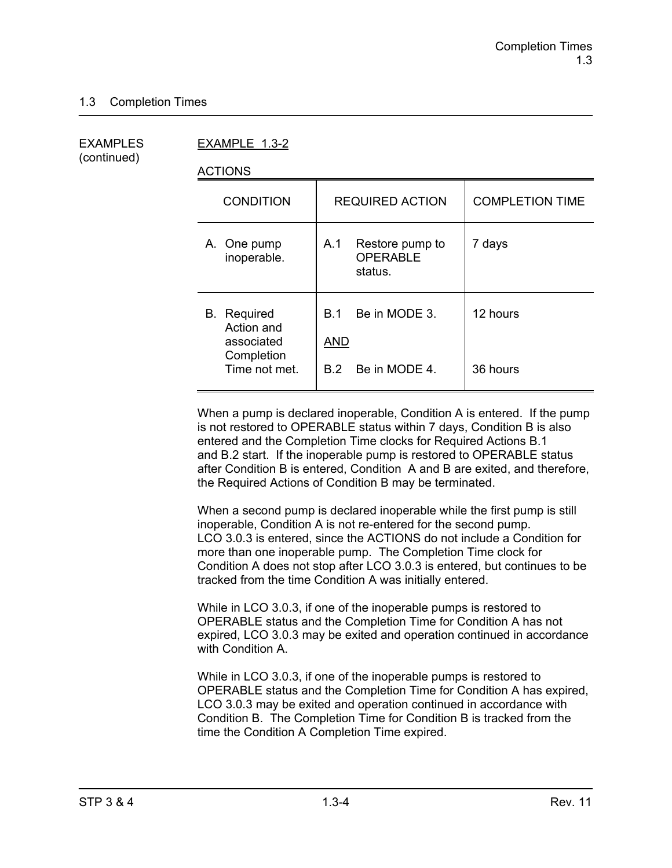(continued)

EXAMPLES EXAMPLE 1.3-2

ACTIONS

| <b>REQUIRED ACTION</b>                                     | <b>COMPLETION TIME</b> |
|------------------------------------------------------------|------------------------|
| Restore pump to<br>A.1<br><b>OPERABLE</b><br>status.       | 7 days                 |
| Be in MODE 3.<br>B 1<br><b>AND</b><br>Be in MODE 4.<br>B.2 | 12 hours<br>36 hours   |
|                                                            |                        |

When a pump is declared inoperable, Condition A is entered. If the pump is not restored to OPERABLE status within 7 days, Condition B is also entered and the Completion Time clocks for Required Actions B.1 and B.2 start. If the inoperable pump is restored to OPERABLE status after Condition B is entered, Condition A and B are exited, and therefore, the Required Actions of Condition B may be terminated.

When a second pump is declared inoperable while the first pump is still inoperable, Condition A is not re-entered for the second pump. LCO 3.0.3 is entered, since the ACTIONS do not include a Condition for more than one inoperable pump. The Completion Time clock for Condition A does not stop after LCO 3.0.3 is entered, but continues to be tracked from the time Condition A was initially entered.

While in LCO 3.0.3, if one of the inoperable pumps is restored to OPERABLE status and the Completion Time for Condition A has not expired, LCO 3.0.3 may be exited and operation continued in accordance with Condition A.

While in LCO 3.0.3, if one of the inoperable pumps is restored to OPERABLE status and the Completion Time for Condition A has expired, LCO 3.0.3 may be exited and operation continued in accordance with Condition B. The Completion Time for Condition B is tracked from the time the Condition A Completion Time expired.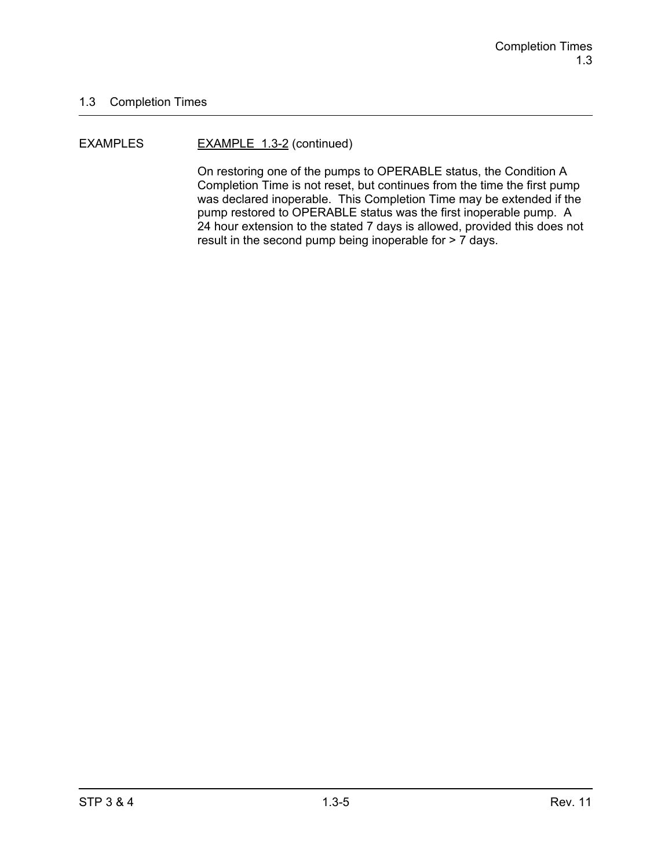#### EXAMPLES EXAMPLE 1.3-2 (continued)

On restoring one of the pumps to OPERABLE status, the Condition A Completion Time is not reset, but continues from the time the first pump was declared inoperable. This Completion Time may be extended if the pump restored to OPERABLE status was the first inoperable pump. A 24 hour extension to the stated 7 days is allowed, provided this does not result in the second pump being inoperable for > 7 days.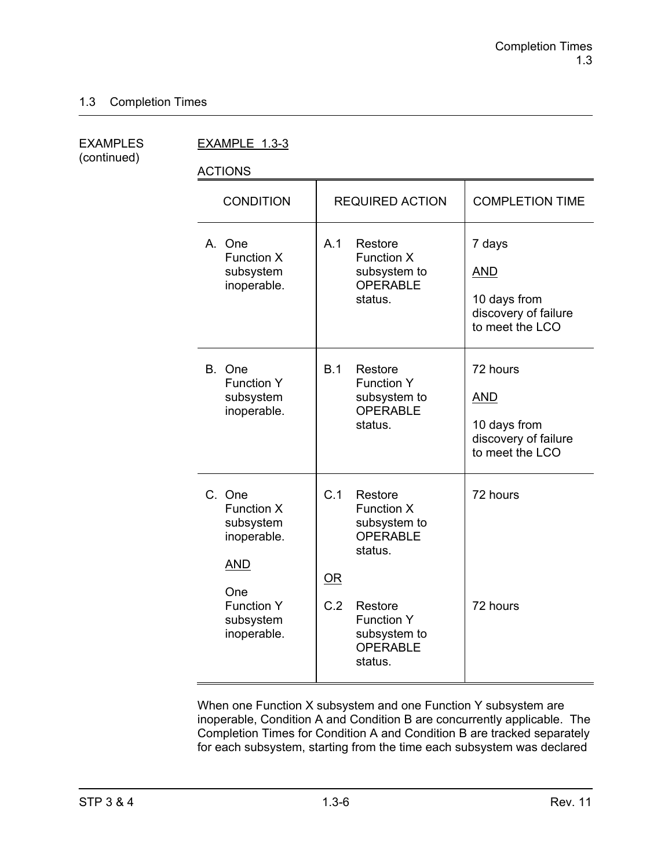(continued)

EXAMPLES EXAMPLE 1.3-3

ACTIONS

| <b>CONDITION</b>                                                                                                              | <b>REQUIRED ACTION</b>                                                                                                                                         | <b>COMPLETION TIME</b>                                                            |
|-------------------------------------------------------------------------------------------------------------------------------|----------------------------------------------------------------------------------------------------------------------------------------------------------------|-----------------------------------------------------------------------------------|
| A. One<br>Function X<br>subsystem<br>inoperable.                                                                              | A.1<br>Restore<br><b>Function X</b><br>subsystem to<br><b>OPERABLE</b><br>status.                                                                              | 7 days<br><b>AND</b><br>10 days from<br>discovery of failure<br>to meet the LCO   |
| B. One<br><b>Function Y</b><br>subsystem<br>inoperable.                                                                       | B.1<br>Restore<br><b>Function Y</b><br>subsystem to<br><b>OPERABLE</b><br>status.                                                                              | 72 hours<br><b>AND</b><br>10 days from<br>discovery of failure<br>to meet the LCO |
| C. One<br><b>Function X</b><br>subsystem<br>inoperable.<br><b>AND</b><br>One<br><b>Function Y</b><br>subsystem<br>inoperable. | C.1<br>Restore<br>Function X<br>subsystem to<br>OPERABLE<br>status.<br>OR<br>C.2<br>Restore<br><b>Function Y</b><br>subsystem to<br><b>OPERABLE</b><br>status. | 72 hours<br>72 hours                                                              |

When one Function X subsystem and one Function Y subsystem are inoperable, Condition A and Condition B are concurrently applicable. The Completion Times for Condition A and Condition B are tracked separately for each subsystem, starting from the time each subsystem was declared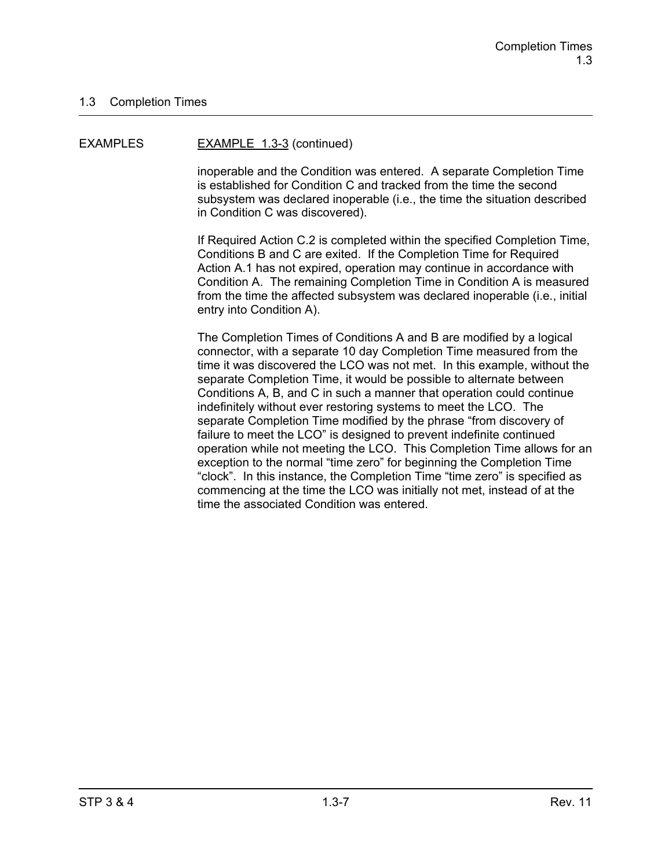#### EXAMPLES EXAMPLE 1.3-3 (continued)

inoperable and the Condition was entered. A separate Completion Time is established for Condition C and tracked from the time the second subsystem was declared inoperable (i.e., the time the situation described in Condition C was discovered).

If Required Action C.2 is completed within the specified Completion Time, Conditions B and C are exited. If the Completion Time for Required Action A.1 has not expired, operation may continue in accordance with Condition A. The remaining Completion Time in Condition A is measured from the time the affected subsystem was declared inoperable (i.e., initial entry into Condition A).

The Completion Times of Conditions A and B are modified by a logical connector, with a separate 10 day Completion Time measured from the time it was discovered the LCO was not met. In this example, without the separate Completion Time, it would be possible to alternate between Conditions A, B, and C in such a manner that operation could continue indefinitely without ever restoring systems to meet the LCO. The separate Completion Time modified by the phrase "from discovery of failure to meet the LCO" is designed to prevent indefinite continued operation while not meeting the LCO. This Completion Time allows for an exception to the normal "time zero" for beginning the Completion Time "clock". In this instance, the Completion Time "time zero" is specified as commencing at the time the LCO was initially not met, instead of at the time the associated Condition was entered.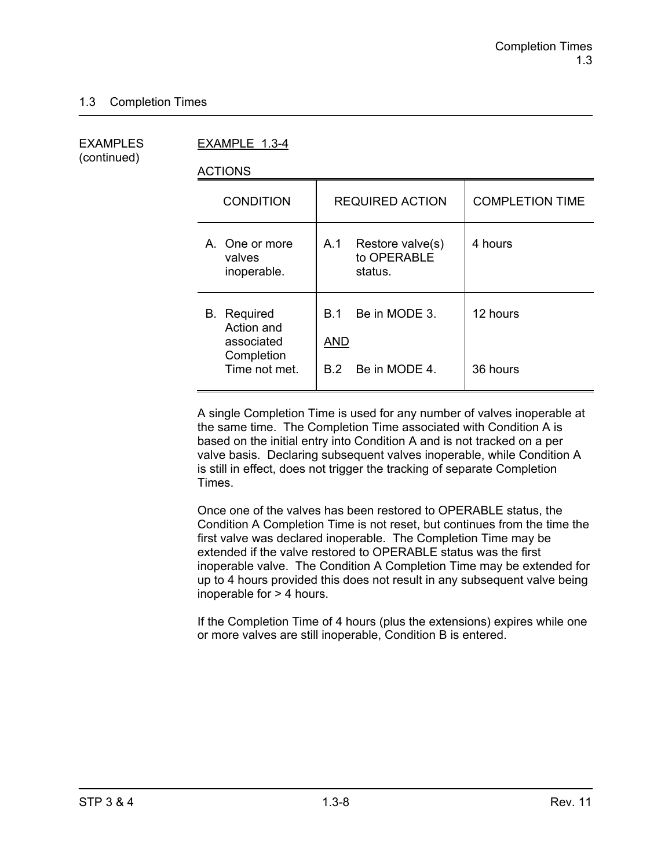(continued)

EXAMPLES EXAMPLE 1.3-4

ACTIONS

| <b>CONDITION</b>                                                              | <b>REQUIRED ACTION</b>                               | <b>COMPLETION TIME</b> |
|-------------------------------------------------------------------------------|------------------------------------------------------|------------------------|
| A. One or more<br>valves<br>inoperable.                                       | A.1<br>Restore valve(s)<br>to OPERABLE<br>status.    | 4 hours                |
| <b>B.</b> Required<br>Action and<br>associated<br>Completion<br>Time not met. | Be in MODE 3.<br>B 1.<br>AND<br>Be in MODE 4.<br>B 2 | 12 hours<br>36 hours   |
|                                                                               |                                                      |                        |

A single Completion Time is used for any number of valves inoperable at the same time. The Completion Time associated with Condition A is based on the initial entry into Condition A and is not tracked on a per valve basis. Declaring subsequent valves inoperable, while Condition A is still in effect, does not trigger the tracking of separate Completion Times.

Once one of the valves has been restored to OPERABLE status, the Condition A Completion Time is not reset, but continues from the time the first valve was declared inoperable. The Completion Time may be extended if the valve restored to OPERABLE status was the first inoperable valve. The Condition A Completion Time may be extended for up to 4 hours provided this does not result in any subsequent valve being inoperable for > 4 hours.

If the Completion Time of 4 hours (plus the extensions) expires while one or more valves are still inoperable, Condition B is entered.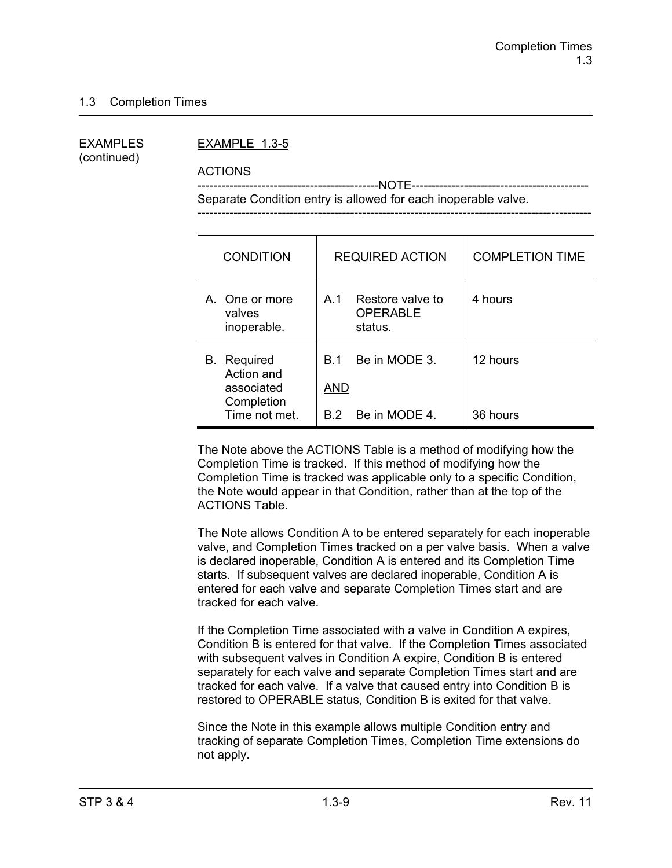(continued)

#### EXAMPLES EXAMPLE 1.3-5

ACTIONS

 ---------------------------------------------NOTE-------------------------------------------- Separate Condition entry is allowed for each inoperable valve.

| <b>CONDITION</b>                                                              | <b>REQUIRED ACTION</b>                                         | <b>COMPLETION TIME</b> |
|-------------------------------------------------------------------------------|----------------------------------------------------------------|------------------------|
| A. One or more<br>valves<br>inoperable.                                       | Restore valve to<br>A.1<br><b>OPERABLE</b><br>status.          | 4 hours                |
| <b>B.</b> Required<br>Action and<br>associated<br>Completion<br>Time not met. | Be in MODE 3.<br><b>B</b> 1<br><b>AND</b><br>B.2 Be in MODE 4. | 12 hours<br>36 hours   |

The Note above the ACTIONS Table is a method of modifying how the Completion Time is tracked. If this method of modifying how the Completion Time is tracked was applicable only to a specific Condition, the Note would appear in that Condition, rather than at the top of the ACTIONS Table.

The Note allows Condition A to be entered separately for each inoperable valve, and Completion Times tracked on a per valve basis. When a valve is declared inoperable, Condition A is entered and its Completion Time starts. If subsequent valves are declared inoperable, Condition A is entered for each valve and separate Completion Times start and are tracked for each valve.

If the Completion Time associated with a valve in Condition A expires, Condition B is entered for that valve. If the Completion Times associated with subsequent valves in Condition A expire, Condition B is entered separately for each valve and separate Completion Times start and are tracked for each valve. If a valve that caused entry into Condition B is restored to OPERABLE status, Condition B is exited for that valve.

Since the Note in this example allows multiple Condition entry and tracking of separate Completion Times, Completion Time extensions do not apply.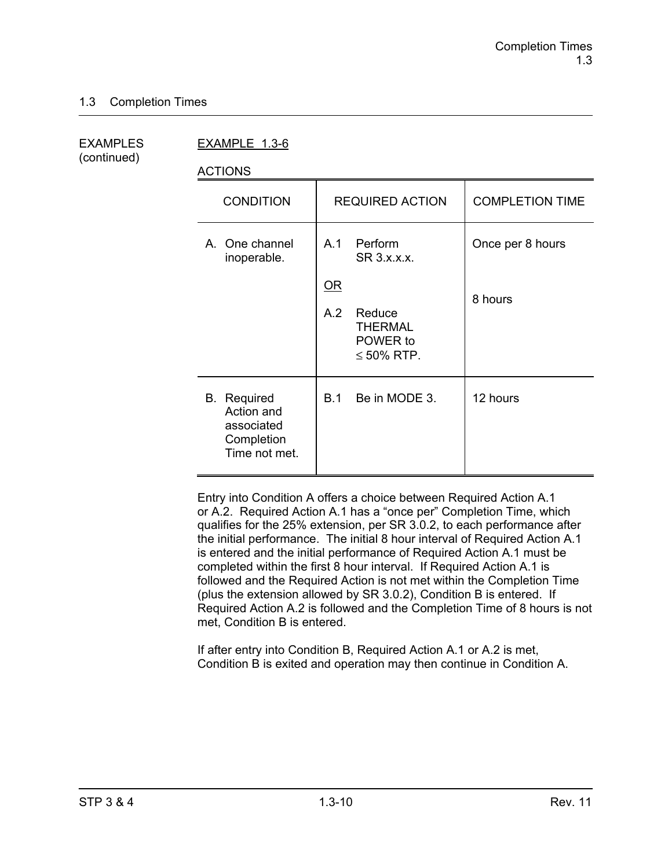(continued)

EXAMPLES EXAMPLE 1.3-6

ACTIONS

| <b>CONDITION</b>                                                              | <b>REQUIRED ACTION</b>                                                                                                        | <b>COMPLETION TIME</b>      |
|-------------------------------------------------------------------------------|-------------------------------------------------------------------------------------------------------------------------------|-----------------------------|
| A. One channel<br>inoperable.                                                 | Perform<br>A.1<br>SR 3.x.x.x.<br>$\underline{\mathsf{OR}}$<br>A.2<br>Reduce<br><b>THERMAL</b><br>POWER to<br>$\leq 50\%$ RTP. | Once per 8 hours<br>8 hours |
| <b>B.</b> Required<br>Action and<br>associated<br>Completion<br>Time not met. | Be in MODE 3.<br>B.1                                                                                                          | 12 hours                    |

Entry into Condition A offers a choice between Required Action A.1 or A.2. Required Action A.1 has a "once per" Completion Time, which qualifies for the 25% extension, per SR 3.0.2, to each performance after the initial performance. The initial 8 hour interval of Required Action A.1 is entered and the initial performance of Required Action A.1 must be completed within the first 8 hour interval. If Required Action A.1 is followed and the Required Action is not met within the Completion Time (plus the extension allowed by SR 3.0.2), Condition B is entered. If Required Action A.2 is followed and the Completion Time of 8 hours is not met, Condition B is entered.

If after entry into Condition B, Required Action A.1 or A.2 is met, Condition B is exited and operation may then continue in Condition A.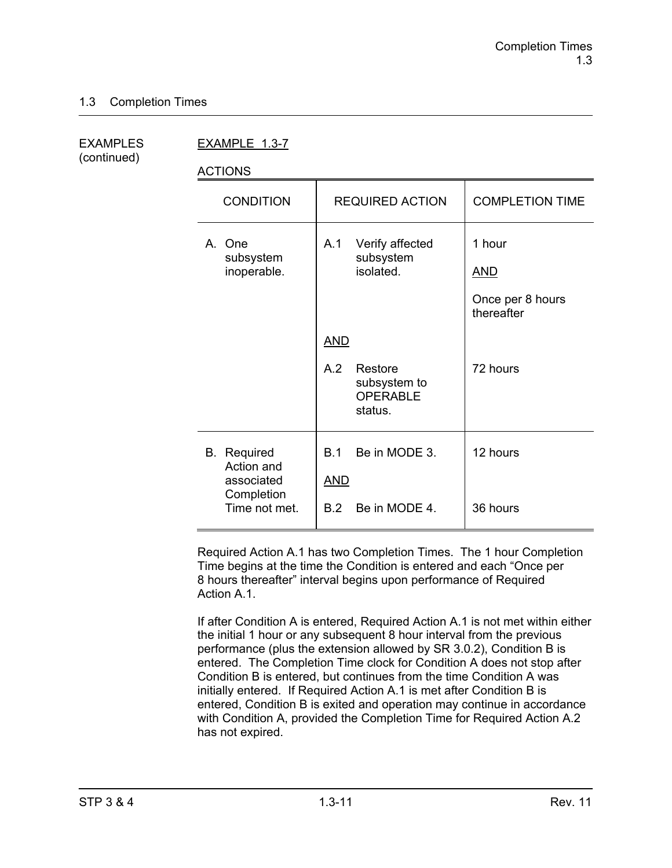(continued)

EXAMPLES EXAMPLE 1.3-7

ACTIONS

| <b>CONDITION</b>                                                              | <b>REQUIRED ACTION</b>                                                     | <b>COMPLETION TIME</b>                                 |
|-------------------------------------------------------------------------------|----------------------------------------------------------------------------|--------------------------------------------------------|
| A. One<br>subsystem<br>inoperable.                                            | Verify affected<br>A.1<br>subsystem<br>isolated.                           | 1 hour<br><u>AND</u><br>Once per 8 hours<br>thereafter |
|                                                                               | <b>AND</b><br>A.2<br>Restore<br>subsystem to<br><b>OPERABLE</b><br>status. | 72 hours                                               |
| <b>B.</b> Required<br>Action and<br>associated<br>Completion<br>Time not met. | Be in MODE 3.<br>B.1<br><b>AND</b><br>Be in MODE 4.<br>B.2                 | 12 hours<br>36 hours                                   |

Required Action A.1 has two Completion Times. The 1 hour Completion Time begins at the time the Condition is entered and each "Once per 8 hours thereafter" interval begins upon performance of Required Action A<sub>1</sub>

If after Condition A is entered, Required Action A.1 is not met within either the initial 1 hour or any subsequent 8 hour interval from the previous performance (plus the extension allowed by SR 3.0.2), Condition B is entered. The Completion Time clock for Condition A does not stop after Condition B is entered, but continues from the time Condition A was initially entered. If Required Action A.1 is met after Condition B is entered, Condition B is exited and operation may continue in accordance with Condition A, provided the Completion Time for Required Action A.2 has not expired.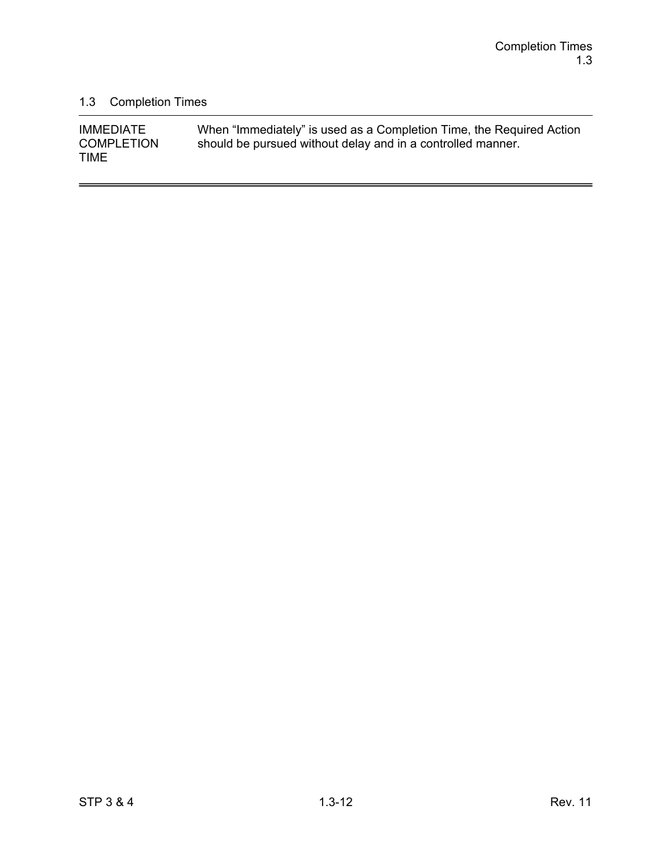$\overline{a}$ 

# 1.3 Completion Times

| <b>IMMEDIATE</b>                 | When "Immediately" is used as a Completion Time, the Required Action |
|----------------------------------|----------------------------------------------------------------------|
| <b>COMPLETION</b><br><b>TIME</b> | should be pursued without delay and in a controlled manner.          |
|                                  |                                                                      |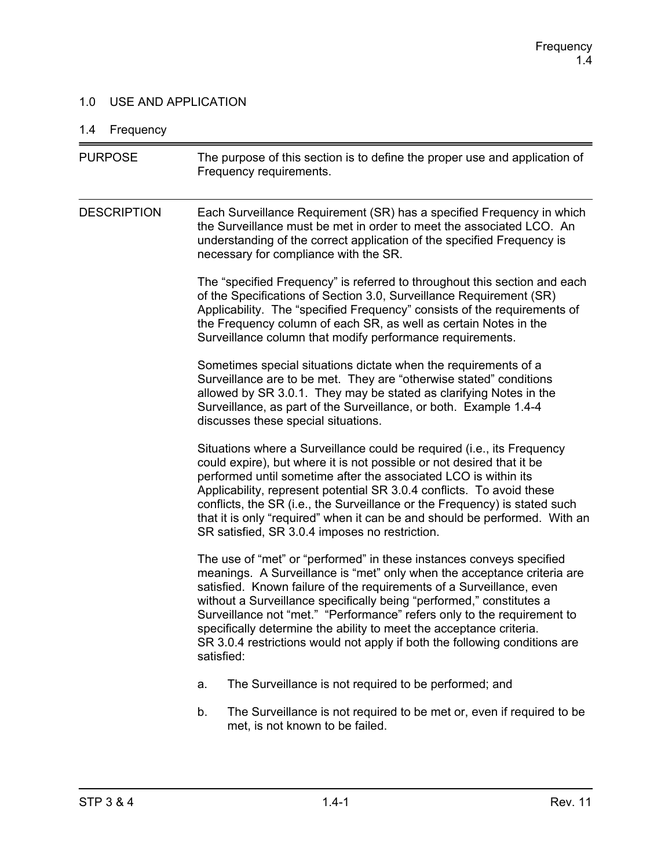## 1.0 USE AND APPLICATION

# 1.4 Frequency

| <b>PURPOSE</b>     | The purpose of this section is to define the proper use and application of<br>Frequency requirements.                                                                                                                                                                                                                                                                                                                                                                                                                                         |
|--------------------|-----------------------------------------------------------------------------------------------------------------------------------------------------------------------------------------------------------------------------------------------------------------------------------------------------------------------------------------------------------------------------------------------------------------------------------------------------------------------------------------------------------------------------------------------|
| <b>DESCRIPTION</b> | Each Surveillance Requirement (SR) has a specified Frequency in which<br>the Surveillance must be met in order to meet the associated LCO. An<br>understanding of the correct application of the specified Frequency is<br>necessary for compliance with the SR.                                                                                                                                                                                                                                                                              |
|                    | The "specified Frequency" is referred to throughout this section and each<br>of the Specifications of Section 3.0, Surveillance Requirement (SR)<br>Applicability. The "specified Frequency" consists of the requirements of<br>the Frequency column of each SR, as well as certain Notes in the<br>Surveillance column that modify performance requirements.                                                                                                                                                                                 |
|                    | Sometimes special situations dictate when the requirements of a<br>Surveillance are to be met. They are "otherwise stated" conditions<br>allowed by SR 3.0.1. They may be stated as clarifying Notes in the<br>Surveillance, as part of the Surveillance, or both. Example 1.4-4<br>discusses these special situations.                                                                                                                                                                                                                       |
|                    | Situations where a Surveillance could be required (i.e., its Frequency<br>could expire), but where it is not possible or not desired that it be<br>performed until sometime after the associated LCO is within its<br>Applicability, represent potential SR 3.0.4 conflicts. To avoid these<br>conflicts, the SR (i.e., the Surveillance or the Frequency) is stated such<br>that it is only "required" when it can be and should be performed. With an<br>SR satisfied, SR 3.0.4 imposes no restriction.                                     |
|                    | The use of "met" or "performed" in these instances conveys specified<br>meanings. A Surveillance is "met" only when the acceptance criteria are<br>satisfied. Known failure of the requirements of a Surveillance, even<br>without a Surveillance specifically being "performed," constitutes a<br>Surveillance not "met." "Performance" refers only to the requirement to<br>specifically determine the ability to meet the acceptance criteria.<br>SR 3.0.4 restrictions would not apply if both the following conditions are<br>satisfied: |
|                    | The Surveillance is not required to be performed; and<br>a.                                                                                                                                                                                                                                                                                                                                                                                                                                                                                   |
|                    | The Surveillance is not required to be met or, even if required to be<br>b.<br>met, is not known to be failed.                                                                                                                                                                                                                                                                                                                                                                                                                                |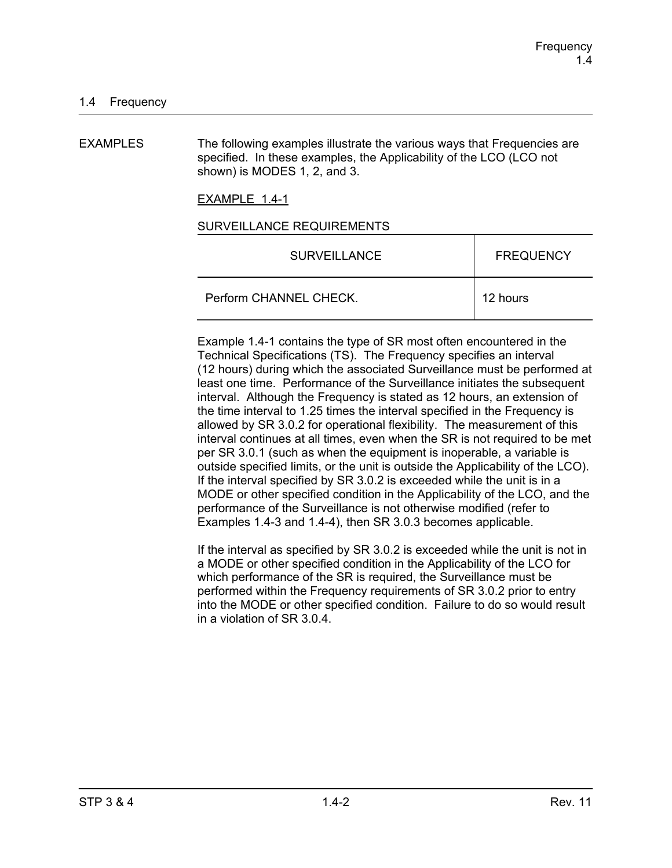EXAMPLES The following examples illustrate the various ways that Frequencies are specified. In these examples, the Applicability of the LCO (LCO not shown) is MODES 1, 2, and 3.

EXAMPLE 1.4-1

#### SURVEILLANCE REQUIREMENTS

| <b>SURVEILLANCE</b>    | <b>FREQUENCY</b> |
|------------------------|------------------|
| Perform CHANNEL CHECK. | 12 hours         |

Example 1.4-1 contains the type of SR most often encountered in the Technical Specifications (TS). The Frequency specifies an interval (12 hours) during which the associated Surveillance must be performed at least one time. Performance of the Surveillance initiates the subsequent interval. Although the Frequency is stated as 12 hours, an extension of the time interval to 1.25 times the interval specified in the Frequency is allowed by SR 3.0.2 for operational flexibility. The measurement of this interval continues at all times, even when the SR is not required to be met per SR 3.0.1 (such as when the equipment is inoperable, a variable is outside specified limits, or the unit is outside the Applicability of the LCO). If the interval specified by SR 3.0.2 is exceeded while the unit is in a MODE or other specified condition in the Applicability of the LCO, and the performance of the Surveillance is not otherwise modified (refer to Examples 1.4-3 and 1.4-4), then SR 3.0.3 becomes applicable.

If the interval as specified by SR 3.0.2 is exceeded while the unit is not in a MODE or other specified condition in the Applicability of the LCO for which performance of the SR is required, the Surveillance must be performed within the Frequency requirements of SR 3.0.2 prior to entry into the MODE or other specified condition. Failure to do so would result in a violation of SR 3.0.4.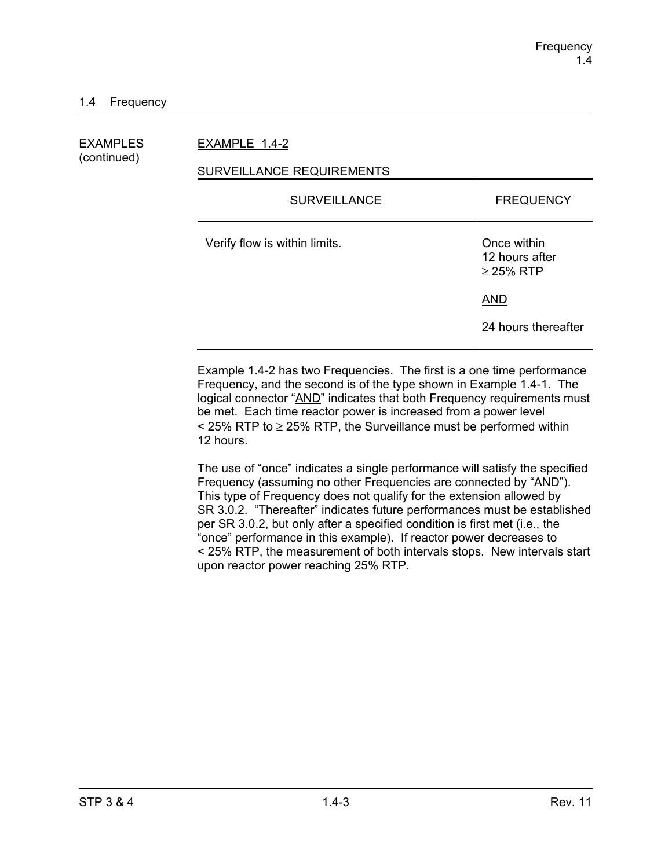## EXAMPLES EXAMPLE 1.4-2

(continued)

## SURVEILLANCE REQUIREMENTS

| <b>SURVEILLANCE</b>           | <b>FREQUENCY</b>                                |
|-------------------------------|-------------------------------------------------|
| Verify flow is within limits. | Once within<br>12 hours after<br>$\geq$ 25% RTP |
|                               | <b>AND</b>                                      |
|                               | 24 hours thereafter                             |

Example 1.4-2 has two Frequencies. The first is a one time performance Frequency, and the second is of the type shown in Example 1.4-1. The logical connector "AND" indicates that both Frequency requirements must be met. Each time reactor power is increased from a power level  $\le$  25% RTP to  $\ge$  25% RTP, the Surveillance must be performed within 12 hours.

The use of "once" indicates a single performance will satisfy the specified Frequency (assuming no other Frequencies are connected by "AND"). This type of Frequency does not qualify for the extension allowed by SR 3.0.2. "Thereafter" indicates future performances must be established per SR 3.0.2, but only after a specified condition is first met (i.e., the "once" performance in this example). If reactor power decreases to < 25% RTP, the measurement of both intervals stops. New intervals start upon reactor power reaching 25% RTP.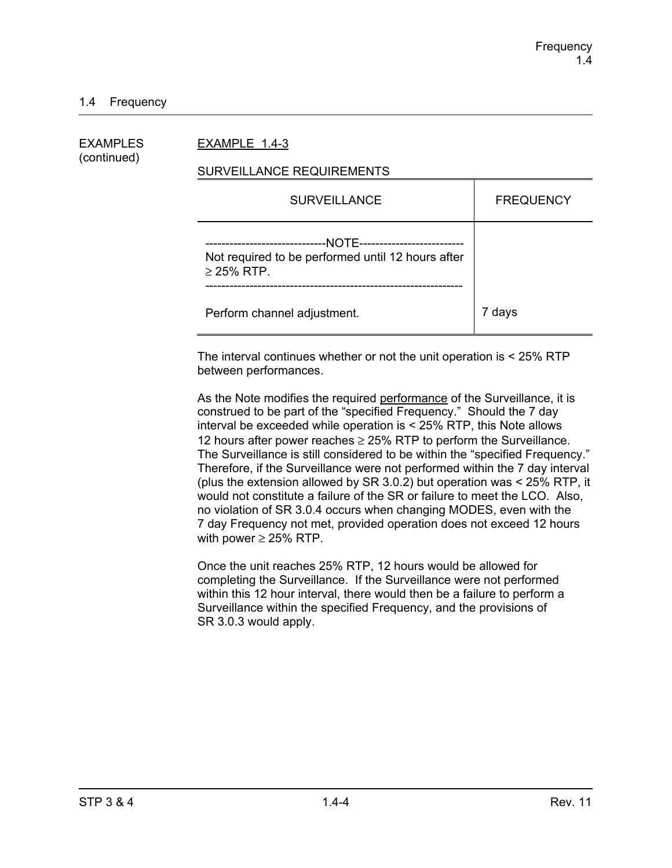## 1.4 Frequency

| EXAMPLES<br>(continued) | EXAMPLE 1.4-3                                                                                                                           |                  |  |
|-------------------------|-----------------------------------------------------------------------------------------------------------------------------------------|------------------|--|
|                         | SURVEILLANCE REQUIREMENTS                                                                                                               |                  |  |
|                         | <b>SURVEILLANCE</b>                                                                                                                     | <b>FREQUENCY</b> |  |
|                         | --NOTE---------------------------<br>--------------------------<br>Not required to be performed until 12 hours after<br>$\geq$ 25% RTP. |                  |  |
|                         | Perform channel adjustment.                                                                                                             | 7 days           |  |

The interval continues whether or not the unit operation is < 25% RTP between performances.

As the Note modifies the required performance of the Surveillance, it is construed to be part of the "specified Frequency." Should the 7 day interval be exceeded while operation is < 25% RTP, this Note allows 12 hours after power reaches  $\geq$  25% RTP to perform the Surveillance. The Surveillance is still considered to be within the "specified Frequency." Therefore, if the Surveillance were not performed within the 7 day interval (plus the extension allowed by SR 3.0.2) but operation was < 25% RTP, it would not constitute a failure of the SR or failure to meet the LCO. Also, no violation of SR 3.0.4 occurs when changing MODES, even with the 7 day Frequency not met, provided operation does not exceed 12 hours with power  $\geq$  25% RTP.

Once the unit reaches 25% RTP, 12 hours would be allowed for completing the Surveillance. If the Surveillance were not performed within this 12 hour interval, there would then be a failure to perform a Surveillance within the specified Frequency, and the provisions of SR 3.0.3 would apply.